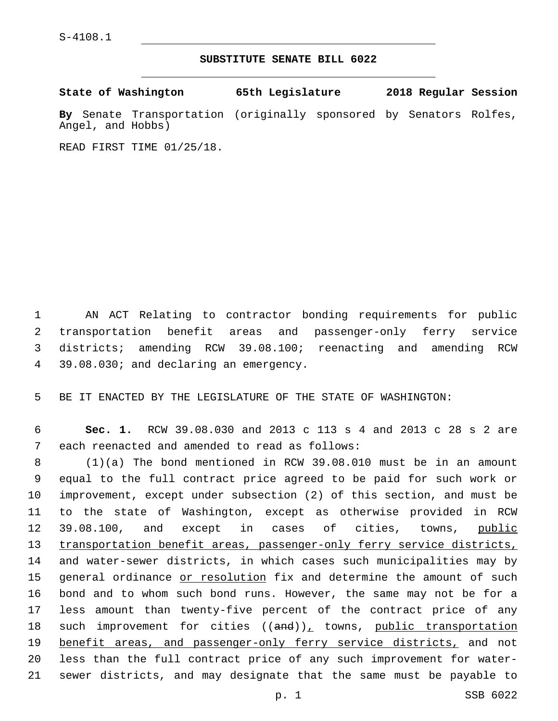S-4108.1

## **SUBSTITUTE SENATE BILL 6022**

| State of Washington                                                                     | 65th Legislature | 2018 Regular Session |  |
|-----------------------------------------------------------------------------------------|------------------|----------------------|--|
| By Senate Transportation (originally sponsored by Senators Rolfes,<br>Angel, and Hobbs) |                  |                      |  |

READ FIRST TIME 01/25/18.

 AN ACT Relating to contractor bonding requirements for public transportation benefit areas and passenger-only ferry service districts; amending RCW 39.08.100; reenacting and amending RCW 4 39.08.030; and declaring an emergency.

5 BE IT ENACTED BY THE LEGISLATURE OF THE STATE OF WASHINGTON:

6 **Sec. 1.** RCW 39.08.030 and 2013 c 113 s 4 and 2013 c 28 s 2 are 7 each reenacted and amended to read as follows:

 (1)(a) The bond mentioned in RCW 39.08.010 must be in an amount equal to the full contract price agreed to be paid for such work or improvement, except under subsection (2) of this section, and must be to the state of Washington, except as otherwise provided in RCW 12 39.08.100, and except in cases of cities, towns, public 13 transportation benefit areas, passenger-only ferry service districts, and water-sewer districts, in which cases such municipalities may by 15 general ordinance or resolution fix and determine the amount of such bond and to whom such bond runs. However, the same may not be for a less amount than twenty-five percent of the contract price of any 18 such improvement for cities  $((and))_L$  towns, public transportation 19 benefit areas, and passenger-only ferry service districts, and not less than the full contract price of any such improvement for water-sewer districts, and may designate that the same must be payable to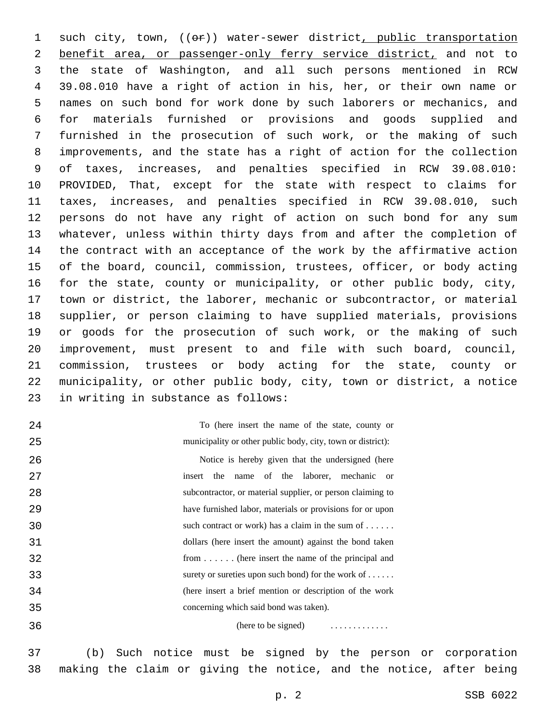1 such city, town, (( $\Theta$ )) water-sewer district, public transportation 2 benefit area, or passenger-only ferry service district, and not to the state of Washington, and all such persons mentioned in RCW 39.08.010 have a right of action in his, her, or their own name or names on such bond for work done by such laborers or mechanics, and for materials furnished or provisions and goods supplied and furnished in the prosecution of such work, or the making of such improvements, and the state has a right of action for the collection of taxes, increases, and penalties specified in RCW 39.08.010: PROVIDED, That, except for the state with respect to claims for taxes, increases, and penalties specified in RCW 39.08.010, such persons do not have any right of action on such bond for any sum whatever, unless within thirty days from and after the completion of the contract with an acceptance of the work by the affirmative action of the board, council, commission, trustees, officer, or body acting for the state, county or municipality, or other public body, city, town or district, the laborer, mechanic or subcontractor, or material supplier, or person claiming to have supplied materials, provisions or goods for the prosecution of such work, or the making of such improvement, must present to and file with such board, council, commission, trustees or body acting for the state, county or municipality, or other public body, city, town or district, a notice 23 in writing in substance as follows:

 

To (here insert the name of the state, county or municipality or other public body, city, town or district):

 Notice is hereby given that the undersigned (here insert the name of the laborer, mechanic or subcontractor, or material supplier, or person claiming to have furnished labor, materials or provisions for or upon such contract or work) has a claim in the sum of . . . . . . dollars (here insert the amount) against the bond taken from . . . . . . (here insert the name of the principal and surety or sureties upon such bond) for the work of . . . . . . (here insert a brief mention or description of the work concerning which said bond was taken).

(here to be signed) . . . . . . . . . . . . .

 (b) Such notice must be signed by the person or corporation making the claim or giving the notice, and the notice, after being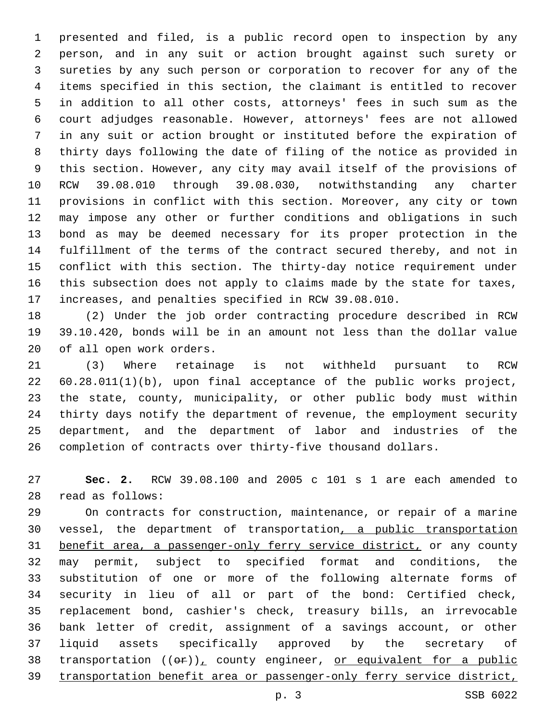presented and filed, is a public record open to inspection by any person, and in any suit or action brought against such surety or sureties by any such person or corporation to recover for any of the items specified in this section, the claimant is entitled to recover in addition to all other costs, attorneys' fees in such sum as the court adjudges reasonable. However, attorneys' fees are not allowed in any suit or action brought or instituted before the expiration of thirty days following the date of filing of the notice as provided in this section. However, any city may avail itself of the provisions of RCW 39.08.010 through 39.08.030, notwithstanding any charter provisions in conflict with this section. Moreover, any city or town may impose any other or further conditions and obligations in such bond as may be deemed necessary for its proper protection in the fulfillment of the terms of the contract secured thereby, and not in conflict with this section. The thirty-day notice requirement under this subsection does not apply to claims made by the state for taxes, increases, and penalties specified in RCW 39.08.010.

 (2) Under the job order contracting procedure described in RCW 39.10.420, bonds will be in an amount not less than the dollar value 20 of all open work orders.

 (3) Where retainage is not withheld pursuant to RCW 60.28.011(1)(b), upon final acceptance of the public works project, the state, county, municipality, or other public body must within thirty days notify the department of revenue, the employment security department, and the department of labor and industries of the completion of contracts over thirty-five thousand dollars.

 **Sec. 2.** RCW 39.08.100 and 2005 c 101 s 1 are each amended to read as follows:28

 On contracts for construction, maintenance, or repair of a marine vessel, the department of transportation, a public transportation benefit area, a passenger-only ferry service district, or any county may permit, subject to specified format and conditions, the substitution of one or more of the following alternate forms of security in lieu of all or part of the bond: Certified check, replacement bond, cashier's check, treasury bills, an irrevocable bank letter of credit, assignment of a savings account, or other liquid assets specifically approved by the secretary of 38 transportation  $((e^p)_L$  county engineer, or equivalent for a public transportation benefit area or passenger-only ferry service district,